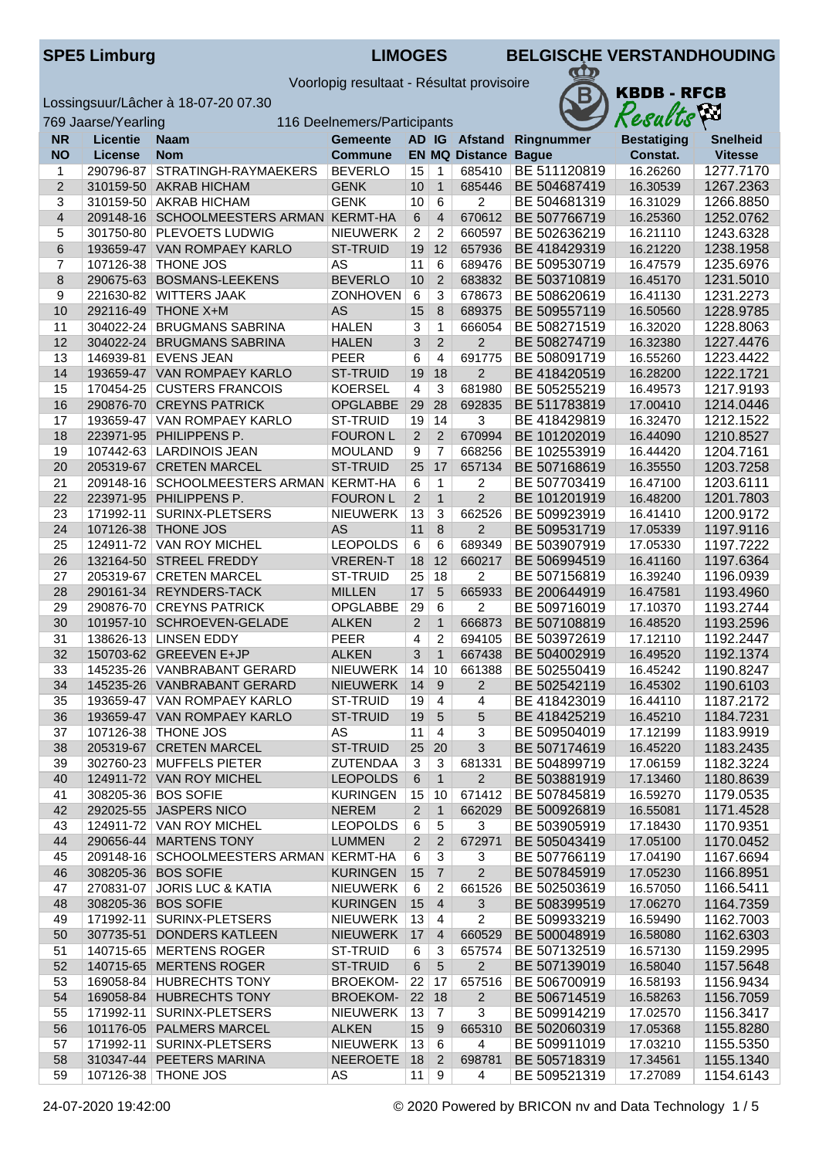|  | <b>SPE5 Limburg</b> |  |
|--|---------------------|--|
|  |                     |  |

**KBDB - RFCB** 

Results

 $\mathbf{CD}$ 

B

Voorlopig resultaat - Résultat provisoire

Lossingsuur/Lâcher à 18-07-20 07.30

|                | 769 Jaarse/Yearling<br>116 Deelnemers/Participants |                                                                |                                    |                 |                   | Results                     | kπ                           |                      |                        |
|----------------|----------------------------------------------------|----------------------------------------------------------------|------------------------------------|-----------------|-------------------|-----------------------------|------------------------------|----------------------|------------------------|
| <b>NR</b>      | Licentie                                           | <b>Naam</b>                                                    | <b>Gemeente</b>                    |                 |                   |                             | AD IG Afstand Ringnummer     | <b>Bestatiging</b>   | <b>Snelheid</b>        |
| <b>NO</b>      | <b>License</b>                                     | <b>Nom</b>                                                     | <b>Commune</b>                     |                 |                   | <b>EN MQ Distance Bague</b> |                              | Constat.             | <b>Vitesse</b>         |
| $\mathbf{1}$   |                                                    | 290796-87 STRATINGH-RAYMAEKERS                                 | <b>BEVERLO</b>                     | 15              | $\mathbf{1}$      | 685410                      | BE 511120819                 | 16.26260             | 1277.7170              |
| $\overline{2}$ |                                                    | 310159-50 AKRAB HICHAM                                         | <b>GENK</b>                        | 10              | $\overline{1}$    | 685446                      | BE 504687419                 | 16.30539             | 1267.2363              |
| 3              |                                                    | 310159-50 AKRAB HICHAM                                         | <b>GENK</b>                        | 10 <sup>°</sup> | $6\overline{6}$   | $\overline{2}$              | BE 504681319                 | 16.31029             | 1266.8850              |
| $\overline{4}$ |                                                    | 209148-16 SCHOOLMEESTERS ARMAN KERMT-HA                        |                                    | $\,6\,$         | $\overline{4}$    | 670612                      | BE 507766719                 | 16.25360             | 1252.0762              |
| 5              |                                                    | 301750-80 PLEVOETS LUDWIG                                      | <b>NIEUWERK</b>                    | $\overline{2}$  | $\overline{c}$    | 660597                      | BE 502636219                 | 16.21110             | 1243.6328              |
| 6              |                                                    | 193659-47 VAN ROMPAEY KARLO                                    | <b>ST-TRUID</b>                    | 19              | 12                | 657936                      | BE 418429319                 | 16.21220             | 1238.1958              |
| 7              |                                                    | 107126-38 THONE JOS                                            | <b>AS</b>                          | 11              | 6                 | 689476                      | BE 509530719                 | 16.47579             | 1235.6976              |
| 8              |                                                    | 290675-63 BOSMANS-LEEKENS                                      | <b>BEVERLO</b>                     | 10              | $\overline{2}$    | 683832                      | BE 503710819                 | 16.45170             | 1231.5010              |
| $9$            |                                                    | 221630-82 WITTERS JAAK                                         | <b>ZONHOVEN</b>                    | 6               | 3                 | 678673                      | BE 508620619                 | 16.41130             | 1231.2273              |
| 10             |                                                    | 292116-49 THONE X+M                                            | <b>AS</b>                          | 15              | 8                 | 689375                      | BE 509557119                 | 16.50560             | 1228.9785              |
| 11             |                                                    | 304022-24 BRUGMANS SABRINA                                     | <b>HALEN</b>                       | 3               | 1                 | 666054                      | BE 508271519                 | 16.32020             | 1228.8063              |
| 12             |                                                    | 304022-24 BRUGMANS SABRINA                                     | <b>HALEN</b>                       | 3               | $\overline{2}$    | $\overline{2}$              | BE 508274719                 | 16.32380             | 1227.4476              |
| 13             |                                                    | 146939-81   EVENS JEAN                                         | <b>PEER</b>                        | $6\phantom{a}$  | $\overline{4}$    | 691775                      | BE 508091719                 | 16.55260             | 1223.4422              |
| 14             |                                                    | 193659-47 VAN ROMPAEY KARLO                                    | <b>ST-TRUID</b>                    |                 | 19 18             | $\overline{2}$              | BE 418420519                 | 16.28200             | 1222.1721              |
| 15             |                                                    | 170454-25 CUSTERS FRANCOIS                                     | <b>KOERSEL</b>                     | $\overline{4}$  | 3                 | 681980                      | BE 505255219                 | 16.49573             | 1217.9193              |
| 16             |                                                    | 290876-70 CREYNS PATRICK                                       | <b>OPGLABBE</b>                    | 29              | 28                | 692835                      | BE 511783819                 | 17.00410             | 1214.0446              |
| 17             |                                                    | 193659-47   VAN ROMPAEY KARLO                                  | ST-TRUID                           | 19              | 14                | 3                           | BE 418429819                 | 16.32470             | 1212.1522              |
| 18             |                                                    | 223971-95 PHILIPPENS P.                                        | <b>FOURON L</b>                    | $\overline{2}$  | 2                 | 670994                      | BE 101202019                 | 16.44090             | 1210.8527              |
| 19             |                                                    | 107442-63   LARDINOIS JEAN                                     | <b>MOULAND</b>                     | 9               | $\overline{7}$    | 668256                      | BE 102553919                 | 16.44420             | 1204.7161              |
| 20             |                                                    | 205319-67 CRETEN MARCEL                                        | ST-TRUID                           | 25              | 17                | 657134                      | BE 507168619                 | 16.35550             | 1203.7258              |
| 21             |                                                    | 209148-16 SCHOOLMEESTERS ARMAN KERMT-HA                        |                                    | 6               | 1                 | $\overline{c}$              | BE 507703419                 | 16.47100             | 1203.6111              |
| 22             |                                                    | 223971-95 PHILIPPENS P.                                        | <b>FOURON L</b>                    | $\overline{2}$  | $\mathbf{1}$      | $\overline{2}$              | BE 101201919                 | 16.48200             | 1201.7803              |
| 23             |                                                    | 171992-11 SURINX-PLETSERS                                      | <b>NIEUWERK</b>                    | 13              | 3                 | 662526                      | BE 509923919                 | 16.41410             | 1200.9172              |
| 24             |                                                    | 107126-38 THONE JOS                                            | AS                                 | 11              | $\,8\,$           | $\overline{2}$              | BE 509531719                 | 17.05339             | 1197.9116              |
| 25             |                                                    | 124911-72 VAN ROY MICHEL                                       | <b>LEOPOLDS</b>                    | $6\phantom{1}6$ | 6                 | 689349                      | BE 503907919                 | 17.05330             | 1197.7222              |
| 26             |                                                    | 132164-50 STREEL FREDDY                                        | <b>VREREN-T</b>                    | 18              | 12                | 660217                      | BE 506994519                 | 16.41160             | 1197.6364              |
| 27             |                                                    | 205319-67 CRETEN MARCEL                                        | ST-TRUID                           | 25              | 18                | $\overline{2}$              | BE 507156819                 | 16.39240             | 1196.0939              |
| 28             |                                                    | 290161-34 REYNDERS-TACK                                        | <b>MILLEN</b>                      | 17              | 5                 | 665933                      | BE 200644919                 | 16.47581             | 1193.4960              |
| 29             |                                                    | 290876-70 CREYNS PATRICK                                       | OPGLABBE                           | 29              | $6\,$             | $\overline{2}$              | BE 509716019                 | 17.10370             | 1193.2744              |
| 30             |                                                    | 101957-10 SCHROEVEN-GELADE                                     | <b>ALKEN</b>                       | $\overline{2}$  | $\mathbf{1}$      | 666873                      | BE 507108819                 | 16.48520             | 1193.2596              |
| 31             |                                                    | 138626-13 LINSEN EDDY                                          | PEER                               | $\overline{4}$  | $\overline{2}$    | 694105                      | BE 503972619                 | 17.12110             | 1192.2447              |
| 32             |                                                    | 150703-62 GREEVEN E+JP                                         | <b>ALKEN</b>                       | 3               | $\mathbf{1}$      | 667438                      | BE 504002919                 | 16.49520             | 1192.1374              |
| 33             |                                                    | 145235-26 VANBRABANT GERARD                                    | <b>NIEUWERK</b>                    | 14              | 10                | 661388                      | BE 502550419                 | 16.45242             | 1190.8247              |
| 34             |                                                    | 145235-26 VANBRABANT GERARD                                    | <b>NIEUWERK</b>                    | 14              | 9                 | $\overline{2}$              | BE 502542119                 | 16.45302             | 1190.6103              |
| 35             |                                                    | 193659-47 VAN ROMPAEY KARLO                                    | ST-TRUID                           | 19              | $\overline{4}$    | $\overline{4}$              | BE 418423019                 | 16.44110             | 1187.2172              |
| 36             |                                                    | 193659-47 VAN ROMPAEY KARLO                                    | ST-TRUID                           | 19              | 5                 | 5                           | BE 418425219                 | 16.45210             | 1184.7231              |
| 37             |                                                    |                                                                | AS                                 | $11 \mid 4$     |                   | $\overline{3}$              |                              | 17.12199             |                        |
|                |                                                    | 107126-38 THONE JOS                                            |                                    |                 |                   |                             | BE 509504019<br>BE 507174619 |                      | 1183.9919              |
| 38             |                                                    | 205319-67 CRETEN MARCEL<br>302760-23 MUFFELS PIETER            | <b>ST-TRUID</b><br><b>ZUTENDAA</b> |                 | $25 \,   \, 20$   | 3<br>681331                 | BE 504899719                 | 16.45220             | 1183.2435              |
| 39             |                                                    |                                                                |                                    | 3               | 3<br>$\mathbf{1}$ | $\overline{2}$              | BE 503881919                 | 17.06159             | 1182.3224              |
| 40             |                                                    | 124911-72 VAN ROY MICHEL<br>308205-36 BOS SOFIE                | <b>LEOPOLDS</b><br><b>KURINGEN</b> | 6               |                   |                             |                              | 17.13460             | 1180.8639              |
| 41             |                                                    |                                                                | <b>NEREM</b>                       | 15 <sup>2</sup> | 10                | 671412                      | BE 507845819                 | 16.59270<br>16.55081 | 1179.0535<br>1171.4528 |
| 42             |                                                    | 292025-55 JASPERS NICO<br>124911-72 VAN ROY MICHEL             |                                    | $\overline{2}$  | $\mathbf 1$       | 662029                      | BE 500926819                 |                      |                        |
| 43             |                                                    |                                                                | <b>LEOPOLDS</b>                    | 6               | 5                 | 3                           | BE 503905919                 | 17.18430             | 1170.9351              |
| 44             |                                                    | 290656-44 MARTENS TONY                                         | <b>LUMMEN</b>                      | $\overline{2}$  | $\overline{2}$    | 672971                      | BE 505043419                 | 17.05100             | 1170.0452              |
| 45             |                                                    | 209148-16 SCHOOLMEESTERS ARMAN KERMT-HA<br>308205-36 BOS SOFIE |                                    | 6               | 3                 | 3<br>$\overline{2}$         | BE 507766119                 | 17.04190             | 1167.6694              |
| 46             |                                                    |                                                                | <b>KURINGEN</b>                    | $15$ 7          |                   |                             | BE 507845919<br>BE 502503619 | 17.05230             | 1166.8951              |
| 47             |                                                    | 270831-07 JORIS LUC & KATIA                                    | <b>NIEUWERK</b>                    | 6               | 2                 | 661526                      |                              | 16.57050             | 1166.5411              |
| 48             |                                                    | 308205-36 BOS SOFIE                                            | <b>KURINGEN</b>                    | 15              | $\overline{4}$    | 3                           | BE 508399519                 | 17.06270             | 1164.7359              |
| 49             |                                                    | 171992-11 SURINX-PLETSERS                                      | NIEUWERK                           | 13              | 4                 | 2                           | BE 509933219                 | 16.59490             | 1162.7003              |
| 50             |                                                    | 307735-51 DONDERS KATLEEN                                      | <b>NIEUWERK</b>                    | 17              | $\overline{4}$    | 660529                      | BE 500048919                 | 16.58080             | 1162.6303              |
| 51             |                                                    | 140715-65 MERTENS ROGER                                        | ST-TRUID                           | 6               | 3                 | 657574                      | BE 507132519                 | 16.57130             | 1159.2995              |
| 52             |                                                    | 140715-65 MERTENS ROGER                                        | ST-TRUID                           | 6               | 5                 | 2                           | BE 507139019                 | 16.58040             | 1157.5648              |
| 53             |                                                    | 169058-84 HUBRECHTS TONY                                       | <b>BROEKOM-</b>                    | 22              | 17                | 657516                      | BE 506700919                 | 16.58193             | 1156.9434              |
| 54             |                                                    | 169058-84 HUBRECHTS TONY                                       | <b>BROEKOM-</b>                    | $22$ 18         |                   | 2                           | BE 506714519                 | 16.58263             | 1156.7059              |
| 55             |                                                    | 171992-11   SURINX-PLETSERS                                    | <b>NIEUWERK</b>                    | 13              | $\overline{7}$    | 3                           | BE 509914219                 | 17.02570             | 1156.3417              |
| 56             |                                                    | 101176-05 PALMERS MARCEL                                       | <b>ALKEN</b>                       | 15              | 9                 | 665310                      | BE 502060319                 | 17.05368             | 1155.8280              |
| 57             |                                                    | 171992-11 SURINX-PLETSERS                                      | <b>NIEUWERK</b>                    | 13              | 6                 | 4                           | BE 509911019                 | 17.03210             | 1155.5350              |
| 58             |                                                    | 310347-44 PEETERS MARINA                                       | <b>NEEROETE</b>                    | 18              | $\overline{2}$    | 698781                      | BE 505718319                 | 17.34561             | 1155.1340              |
| 59             |                                                    | 107126-38 THONE JOS                                            | AS                                 | 11              | 9                 | 4                           | BE 509521319                 | 17.27089             | 1154.6143              |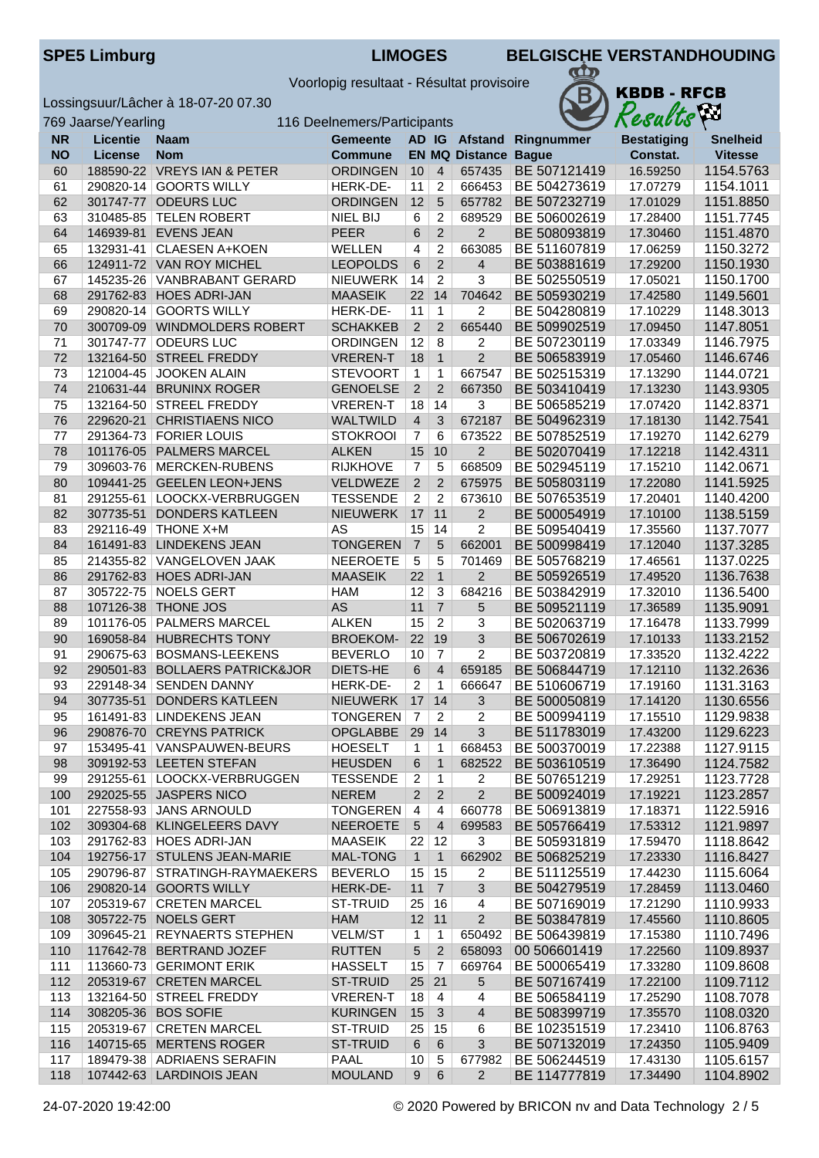**KBDB - RFCB** 

Results

 $\pi$ 

B

Voorlopig resultaat - Résultat provisoire

Lossingsuur/Lâcher à 18-07-20 07.30

769 Jaarse/Yearling 116 Deelnemers/Participants

| <b>NR</b> | <b>Licentie</b> | <b>Naam</b>                    | <b>Gemeente</b> | AD IG           |                 |                             | Afstand Ringnummer  | <b>Bestatiging</b> | <b>Snelheid</b> |
|-----------|-----------------|--------------------------------|-----------------|-----------------|-----------------|-----------------------------|---------------------|--------------------|-----------------|
| <b>NO</b> | <b>License</b>  | <b>Nom</b>                     | <b>Commune</b>  |                 |                 | <b>EN MQ Distance Bague</b> |                     | Constat.           | <b>Vitesse</b>  |
| 60        |                 | 188590-22 VREYS IAN & PETER    | <b>ORDINGEN</b> | 10              | $\overline{4}$  | 657435                      | BE 507121419        | 16.59250           | 1154.5763       |
| 61        |                 | 290820-14 GOORTS WILLY         | HERK-DE-        | 11              | $\overline{2}$  | 666453                      | BE 504273619        | 17.07279           | 1154.1011       |
| 62        |                 | 301747-77 ODEURS LUC           | <b>ORDINGEN</b> | 12              | $\overline{5}$  | 657782                      | BE 507232719        | 17.01029           | 1151.8850       |
| 63        |                 | 310485-85 TELEN ROBERT         | NIEL BIJ        | 6               | 2               | 689529                      | BE 506002619        | 17.28400           | 1151.7745       |
| 64        |                 | 146939-81 EVENS JEAN           | <b>PEER</b>     | $6\phantom{1}6$ | $\overline{2}$  | $\overline{2}$              | BE 508093819        | 17.30460           | 1151.4870       |
| 65        |                 | 132931-41 CLAESEN A+KOEN       | <b>WELLEN</b>   | 4               | 2               | 663085                      | BE 511607819        | 17.06259           | 1150.3272       |
| 66        |                 | 124911-72 VAN ROY MICHEL       | <b>LEOPOLDS</b> | $6\phantom{1}6$ | $\overline{2}$  | $\overline{4}$              | BE 503881619        | 17.29200           | 1150.1930       |
| 67        |                 | 145235-26 VANBRABANT GERARD    | <b>NIEUWERK</b> | 14              | $\overline{2}$  | $\overline{3}$              | BE 502550519        | 17.05021           | 1150.1700       |
| 68        |                 | 291762-83 HOES ADRI-JAN        | <b>MAASEIK</b>  | 22              | 14              | 704642                      | BE 505930219        | 17.42580           | 1149.5601       |
| 69        |                 | 290820-14 GOORTS WILLY         | HERK-DE-        | 11              | $\overline{1}$  | $\overline{c}$              | BE 504280819        | 17.10229           | 1148.3013       |
| 70        |                 | 300709-09 WINDMOLDERS ROBERT   | <b>SCHAKKEB</b> | $\overline{2}$  | $\overline{2}$  | 665440                      | BE 509902519        | 17.09450           | 1147.8051       |
| 71        |                 | 301747-77 ODEURS LUC           | <b>ORDINGEN</b> | 12              | 8               | $\overline{2}$              | BE 507230119        | 17.03349           | 1146.7975       |
| 72        |                 | 132164-50 STREEL FREDDY        | <b>VREREN-T</b> | 18              | $\overline{1}$  | $\overline{2}$              | BE 506583919        | 17.05460           | 1146.6746       |
| 73        |                 | 121004-45 JOOKEN ALAIN         | <b>STEVOORT</b> | $\mathbf{1}$    | 1               | 667547                      | BE 502515319        | 17.13290           | 1144.0721       |
| 74        |                 | 210631-44 BRUNINX ROGER        | <b>GENOELSE</b> | 2               | $\overline{2}$  | 667350                      | BE 503410419        | 17.13230           | 1143.9305       |
| 75        |                 | 132164-50 STREEL FREDDY        | <b>VREREN-T</b> | 18              | 14              | $\overline{3}$              | BE 506585219        | 17.07420           | 1142.8371       |
| 76        |                 | 229620-21 CHRISTIAENS NICO     | <b>WALTWILD</b> | $\overline{4}$  | 3               | 672187                      | BE 504962319        | 17.18130           | 1142.7541       |
| 77        |                 | 291364-73 FORIER LOUIS         | <b>STOKROOI</b> | $\overline{7}$  | 6               | 673522                      | BE 507852519        | 17.19270           | 1142.6279       |
|           |                 | 101176-05 PALMERS MARCEL       | <b>ALKEN</b>    |                 |                 | $\overline{2}$              |                     | 17.12218           | 1142.4311       |
| 78        |                 |                                |                 | 15              | 10              | 668509                      | BE 502070419        |                    |                 |
| 79        |                 | 309603-76 MERCKEN-RUBENS       | <b>RIJKHOVE</b> | $\overline{7}$  | $\overline{5}$  |                             | BE 502945119        | 17.15210           | 1142.0671       |
| 80        |                 | 109441-25 GEELEN LEON+JENS     | VELDWEZE        | $\overline{2}$  | 2               | 675975                      | BE 505803119        | 17.22080           | 1141.5925       |
| 81        |                 | 291255-61   LOOCKX-VERBRUGGEN  | <b>TESSENDE</b> | $\overline{2}$  | $\overline{2}$  | 673610                      | BE 507653519        | 17.20401           | 1140.4200       |
| 82        | 307735-51       | <b>DONDERS KATLEEN</b>         | <b>NIEUWERK</b> | 17              | 11              | $\overline{2}$              | BE 500054919        | 17.10100           | 1138.5159       |
| 83        |                 | 292116-49 THONE X+M            | AS              | 15              | 14              | 2                           | BE 509540419        | 17.35560           | 1137.7077       |
| 84        |                 | 161491-83 LINDEKENS JEAN       | <b>TONGEREN</b> | $\overline{7}$  | 5               | 662001                      | BE 500998419        | 17.12040           | 1137.3285       |
| 85        |                 | 214355-82 VANGELOVEN JAAK      | <b>NEEROETE</b> | $\sqrt{5}$      | 5               | 701469                      | BE 505768219        | 17.46561           | 1137.0225       |
| 86        |                 | 291762-83 HOES ADRI-JAN        | <b>MAASEIK</b>  | 22              | $\overline{1}$  | $\overline{2}$              | BE 505926519        | 17.49520           | 1136.7638       |
| 87        |                 | 305722-75 NOELS GERT           | <b>HAM</b>      | 12              | 3               | 684216                      | BE 503842919        | 17.32010           | 1136.5400       |
| 88        |                 | 107126-38 THONE JOS            | <b>AS</b>       | 11              | $\overline{7}$  | 5                           | BE 509521119        | 17.36589           | 1135.9091       |
| 89        |                 | 101176-05 PALMERS MARCEL       | <b>ALKEN</b>    | 15              | $\overline{2}$  | 3                           | BE 502063719        | 17.16478           | 1133.7999       |
| 90        |                 | 169058-84 HUBRECHTS TONY       | <b>BROEKOM-</b> | 22              | 19              | 3                           | BE 506702619        | 17.10133           | 1133.2152       |
| 91        |                 | 290675-63 BOSMANS-LEEKENS      | <b>BEVERLO</b>  | 10              | $\overline{7}$  | $\overline{2}$              | BE 503720819        | 17.33520           | 1132.4222       |
| 92        |                 | 290501-83 BOLLAERS PATRICK&JOR | DIETS-HE        | $6\phantom{1}6$ | $\overline{4}$  | 659185                      | BE 506844719        | 17.12110           | 1132.2636       |
| 93        |                 | 229148-34 SENDEN DANNY         | HERK-DE-        | $\overline{2}$  | 1               | 666647                      | BE 510606719        | 17.19160           | 1131.3163       |
| 94        |                 | 307735-51 DONDERS KATLEEN      | <b>NIEUWERK</b> | 17              | 14              | $\overline{3}$              | BE 500050819        | 17.14120           | 1130.6556       |
| 95        |                 | 161491-83 LINDEKENS JEAN       | <b>TONGEREN</b> | $\overline{7}$  | $\overline{2}$  | $\overline{2}$              | BE 500994119        | 17.15510           | 1129.9838       |
| 96        |                 | 290876-70 CREYNS PATRICK       | OPGLABBE        | 29              | 14              | 3                           | BE 511783019        | 17.43200           | 1129.6223       |
| 97        |                 | 153495-41 VANSPAUWEN-BEURS     | HOESELT         |                 | $1 \mid 1 \mid$ |                             | 668453 BE 500370019 | 17.22388           | 1127.9115       |
| 98        |                 | 309192-53 LEETEN STEFAN        | <b>HEUSDEN</b>  | 6               | $\overline{1}$  | 682522                      | BE 503610519        | 17.36490           | 1124.7582       |
| 99        |                 | 291255-61   LOOCKX-VERBRUGGEN  | <b>TESSENDE</b> | $\overline{2}$  | $\mathbf{1}$    | $\overline{2}$              | BE 507651219        | 17.29251           | 1123.7728       |
| 100       |                 | 292025-55 JASPERS NICO         | <b>NEREM</b>    | $\overline{2}$  | $\overline{2}$  | $\overline{2}$              | BE 500924019        | 17.19221           | 1123.2857       |
| 101       |                 | 227558-93 JANS ARNOULD         | <b>TONGEREN</b> | 4               | 4               | 660778                      | BE 506913819        | 17.18371           | 1122.5916       |
| 102       |                 | 309304-68 KLINGELEERS DAVY     | <b>NEEROETE</b> | $\sqrt{5}$      | $\overline{4}$  | 699583                      | BE 505766419        | 17.53312           | 1121.9897       |
| 103       |                 | 291762-83 HOES ADRI-JAN        | <b>MAASEIK</b>  | 22              | 12              | 3                           | BE 505931819        | 17.59470           | 1118.8642       |
| 104       |                 | 192756-17 STULENS JEAN-MARIE   | <b>MAL-TONG</b> | $\mathbf{1}$    | $\overline{1}$  | 662902                      | BE 506825219        | 17.23330           | 1116.8427       |
| 105       |                 | 290796-87 STRATINGH-RAYMAEKERS | <b>BEVERLO</b>  | 15              | 15              | $\overline{2}$              | BE 511125519        | 17.44230           | 1115.6064       |
| 106       |                 | 290820-14 GOORTS WILLY         | HERK-DE-        | 11              | $\overline{7}$  | $\overline{3}$              | BE 504279519        | 17.28459           | 1113.0460       |
| 107       |                 | 205319-67 CRETEN MARCEL        | <b>ST-TRUID</b> | 25              | 16              | 4                           | BE 507169019        | 17.21290           | 1110.9933       |
| 108       |                 | 305722-75 NOELS GERT           | HAM             |                 | $12$ 11         | $2^{\circ}$                 | BE 503847819        | 17.45560           | 1110.8605       |
| 109       |                 | 309645-21 REYNAERTS STEPHEN    | <b>VELM/ST</b>  | $\mathbf{1}$    | 1               | 650492                      | BE 506439819        | 17.15380           | 1110.7496       |
| 110       |                 | 117642-78 BERTRAND JOZEF       | <b>RUTTEN</b>   | $\overline{5}$  | $\overline{2}$  | 658093                      | 00 506601419        | 17.22560           | 1109.8937       |
| 111       |                 | 113660-73 GERIMONT ERIK        | <b>HASSELT</b>  | 15              | $\overline{7}$  | 669764                      | BE 500065419        | 17.33280           | 1109.8608       |
| 112       |                 | 205319-67 CRETEN MARCEL        | ST-TRUID        | $25$ 21         |                 | 5                           | BE 507167419        | 17.22100           | 1109.7112       |
| 113       |                 | 132164-50 STREEL FREDDY        | <b>VREREN-T</b> | 18              | $\overline{4}$  | 4                           | BE 506584119        | 17.25290           | 1108.7078       |
| 114       |                 | 308205-36 BOS SOFIE            | <b>KURINGEN</b> | 15              | $\mathbf{3}$    | $\overline{4}$              | BE 508399719        | 17.35570           | 1108.0320       |
| 115       |                 | 205319-67 CRETEN MARCEL        | ST-TRUID        | 25              | 15              | 6                           | BE 102351519        | 17.23410           | 1106.8763       |
| 116       |                 | 140715-65 MERTENS ROGER        | ST-TRUID        | 6               | $6\phantom{1}6$ | 3                           | BE 507132019        | 17.24350           | 1105.9409       |
| 117       |                 | 189479-38 ADRIAENS SERAFIN     | <b>PAAL</b>     | 10              | 5               | 677982                      | BE 506244519        | 17.43130           | 1105.6157       |
| 118       |                 | 107442-63 LARDINOIS JEAN       | <b>MOULAND</b>  | 9               | $\,6\,$         | $\overline{2}$              | BE 114777819        | 17.34490           | 1104.8902       |
|           |                 |                                |                 |                 |                 |                             |                     |                    |                 |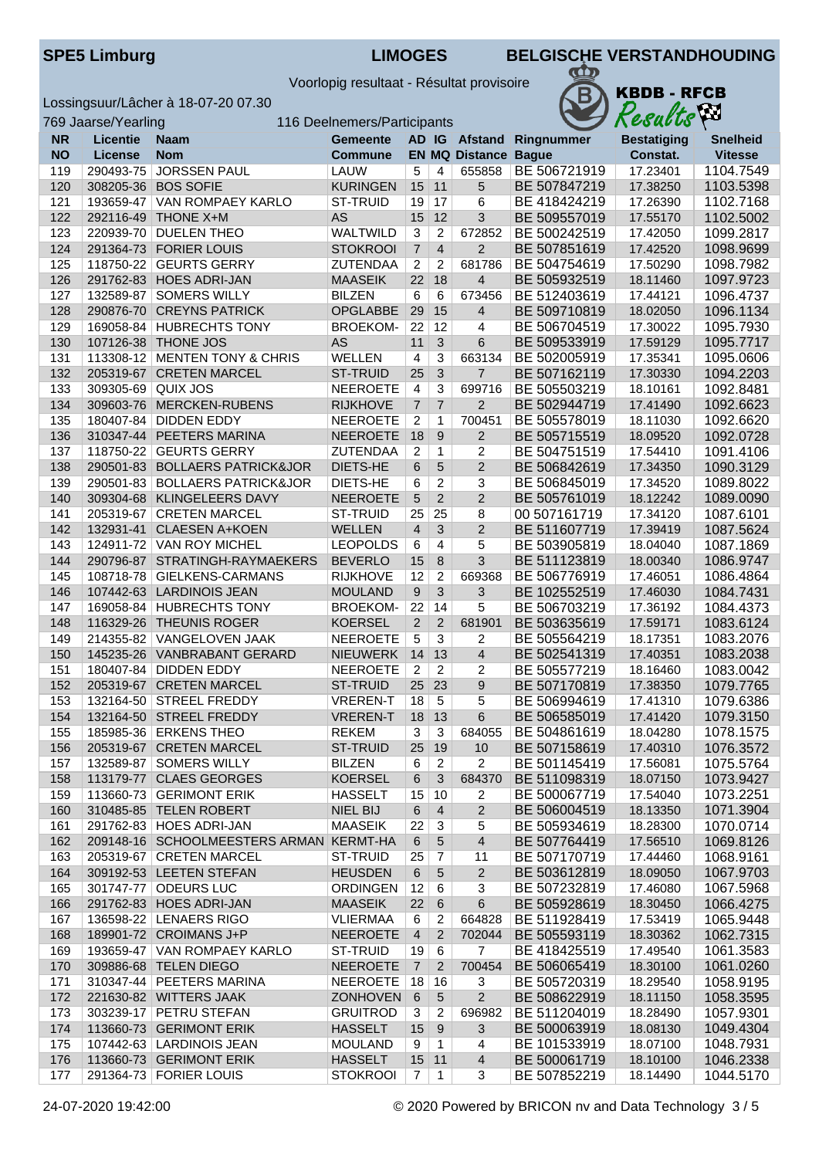Voorlopig resultaat - Résultat provisoire

Lossingsuur/Lâcher à 18-07-20 07.30



|            | 769 Jaarse/Yearling |                                                      | 116 Deelnemers/Participants  |                |                 |                             |                              | Results              | Yю                     |
|------------|---------------------|------------------------------------------------------|------------------------------|----------------|-----------------|-----------------------------|------------------------------|----------------------|------------------------|
| <b>NR</b>  | <b>Licentie</b>     | <b>Naam</b>                                          | <b>Gemeente</b>              |                |                 | AD IG Afstand               | Ringnummer                   | <b>Bestatiging</b>   | <b>Snelheid</b>        |
| <b>NO</b>  | <b>License</b>      | <b>Nom</b>                                           | Commune                      |                |                 | <b>EN MQ Distance Bague</b> |                              | Constat.             | <b>Vitesse</b>         |
| 119        | 290493-75           | <b>JORSSEN PAUL</b>                                  | LAUW                         | 5              | 4               | 655858                      | BE 506721919                 | 17.23401             | 1104.7549              |
| 120        |                     | 308205-36 BOS SOFIE                                  | <b>KURINGEN</b>              | 15             | 11              | 5                           | BE 507847219                 | 17.38250             | 1103.5398              |
| 121        |                     | 193659-47   VAN ROMPAEY KARLO                        | ST-TRUID                     | 19             | 17              | 6                           | BE 418424219                 | 17.26390             | 1102.7168              |
| 122        | 292116-49           | <b>THONE X+M</b>                                     | <b>AS</b>                    | 15             | 12              | 3                           | BE 509557019                 | 17.55170             | 1102.5002              |
| 123        |                     | 220939-70 DUELEN THEO                                | <b>WALTWILD</b>              | 3              | $\overline{c}$  | 672852                      | BE 500242519                 | 17.42050             | 1099.2817              |
| 124        |                     | 291364-73 FORIER LOUIS                               | <b>STOKROOI</b>              | $\overline{7}$ | $\overline{4}$  | $\overline{2}$              | BE 507851619                 | 17.42520             | 1098.9699              |
| 125        |                     | 118750-22 GEURTS GERRY                               | <b>ZUTENDAA</b>              | $\overline{2}$ | 2               | 681786                      | BE 504754619                 | 17.50290             | 1098.7982              |
| 126        |                     | 291762-83 HOES ADRI-JAN                              | <b>MAASEIK</b>               | 22             | 18              | 4                           | BE 505932519                 | 18.11460             | 1097.9723              |
| 127        |                     | 132589-87   SOMERS WILLY                             | <b>BILZEN</b>                | 6              | 6               | 673456                      | BE 512403619                 | 17.44121             | 1096.4737              |
| 128        | 290876-70           | <b>CREYNS PATRICK</b>                                | <b>OPGLABBE</b>              | 29             | 15<br>12        | 4<br>$\overline{4}$         | BE 509710819                 | 18.02050             | 1096.1134              |
| 129        |                     | 169058-84 HUBRECHTS TONY                             | <b>BROEKOM-</b><br><b>AS</b> | 22<br>11       | $\mathbf{3}$    |                             | BE 506704519<br>BE 509533919 | 17.30022             | 1095.7930<br>1095.7717 |
| 130<br>131 |                     | 107126-38 THONE JOS<br>113308-12 MENTEN TONY & CHRIS | WELLEN                       | 4              | 3               | 6<br>663134                 | BE 502005919                 | 17.59129<br>17.35341 | 1095.0606              |
| 132        |                     | 205319-67 CRETEN MARCEL                              | <b>ST-TRUID</b>              | 25             | $\mathbf{3}$    | $\overline{7}$              | BE 507162119                 | 17.30330             | 1094.2203              |
| 133        | 309305-69 QUIX JOS  |                                                      | <b>NEEROETE</b>              | 4              | 3               | 699716                      | BE 505503219                 | 18.10161             | 1092.8481              |
| 134        | 309603-76           | MERCKEN-RUBENS                                       | <b>RIJKHOVE</b>              | $\overline{7}$ | $\overline{7}$  | $\overline{2}$              | BE 502944719                 | 17.41490             | 1092.6623              |
| 135        |                     | 180407-84   DIDDEN EDDY                              | <b>NEEROETE</b>              | $\overline{2}$ | 1               | 700451                      | BE 505578019                 | 18.11030             | 1092.6620              |
| 136        |                     | 310347-44 PEETERS MARINA                             | <b>NEEROETE</b>              | 18             | 9               | 2                           | BE 505715519                 | 18.09520             | 1092.0728              |
| 137        |                     | 118750-22 GEURTS GERRY                               | ZUTENDAA                     | $\overline{2}$ | 1               | 2                           | BE 504751519                 | 17.54410             | 1091.4106              |
| 138        |                     | 290501-83 BOLLAERS PATRICK&JOR                       | DIETS-HE                     | 6              | 5               | $\overline{2}$              | BE 506842619                 | 17.34350             | 1090.3129              |
| 139        |                     | 290501-83 BOLLAERS PATRICK&JOR                       | DIETS-HE                     | 6              | $\overline{2}$  | 3                           | BE 506845019                 | 17.34520             | 1089.8022              |
| 140        |                     | 309304-68 KLINGELEERS DAVY                           | <b>NEEROETE</b>              | 5              | $\overline{2}$  | $\overline{2}$              | BE 505761019                 | 18.12242             | 1089.0090              |
| 141        |                     | 205319-67 CRETEN MARCEL                              | ST-TRUID                     | 25             | 25              | 8                           | 00 507161719                 | 17.34120             | 1087.6101              |
| 142        |                     | 132931-41 CLAESEN A+KOEN                             | <b>WELLEN</b>                | $\overline{4}$ | 3               | $\overline{2}$              | BE 511607719                 | 17.39419             | 1087.5624              |
| 143        |                     | 124911-72 VAN ROY MICHEL                             | <b>LEOPOLDS</b>              | 6              | $\overline{4}$  | 5                           | BE 503905819                 | 18.04040             | 1087.1869              |
| 144        |                     | 290796-87 STRATINGH-RAYMAEKERS                       | <b>BEVERLO</b>               | 15             | 8               | 3                           | BE 511123819                 | 18.00340             | 1086.9747              |
| 145        |                     | 108718-78 GIELKENS-CARMANS                           | <b>RIJKHOVE</b>              | 12             | $\overline{c}$  | 669368                      | BE 506776919                 | 17.46051             | 1086.4864              |
| 146        |                     | 107442-63 LARDINOIS JEAN                             | <b>MOULAND</b>               | 9              | $\overline{3}$  | $\mathbf{3}$                | BE 102552519                 | 17.46030             | 1084.7431              |
| 147        |                     | 169058-84 HUBRECHTS TONY                             | <b>BROEKOM-</b>              | 22             | 14              | 5                           | BE 506703219                 | 17.36192             | 1084.4373              |
| 148        |                     | 116329-26 THEUNIS ROGER                              | <b>KOERSEL</b>               | $\overline{2}$ | $\overline{2}$  | 681901                      | BE 503635619                 | 17.59171             | 1083.6124              |
| 149        |                     | 214355-82 VANGELOVEN JAAK                            | <b>NEEROETE</b>              | 5              | 3               | 2                           | BE 505564219                 | 18.17351             | 1083.2076              |
| 150        |                     | 145235-26 VANBRABANT GERARD                          | <b>NIEUWERK</b>              | 14             | 13              | $\overline{4}$              | BE 502541319                 | 17.40351             | 1083.2038              |
| 151        |                     | 180407-84   DIDDEN EDDY                              | <b>NEEROETE</b>              | $\overline{2}$ | $\overline{2}$  | $\overline{2}$              | BE 505577219                 | 18.16460             | 1083.0042              |
| 152        |                     | 205319-67 CRETEN MARCEL                              | ST-TRUID                     | 25             | 23              | $\boldsymbol{9}$            | BE 507170819                 | 17.38350             | 1079.7765              |
| 153        |                     | 132164-50 STREEL FREDDY                              | <b>VREREN-T</b>              | 18             | 5               | 5                           | BE 506994619                 | 17.41310             | 1079.6386              |
| 154        |                     | 132164-50 STREEL FREDDY                              | <b>VREREN-T</b>              | 18             | 13              | 6                           | BE 506585019                 | 17.41420             | 1079.3150              |
| 155<br>156 |                     | 185985-36 ERKENS THEO<br>205319-67 CRETEN MARCEL     | REKEM<br>ST-TRUID            | 3<br>25        | 3<br>19         | 684055<br>10                | BE 504861619<br>BE 507158619 | 18.04280<br>17.40310 | 1078.1575<br>1076.3572 |
| 157        |                     | 132589-87   SOMERS WILLY                             | <b>BILZEN</b>                | 6              | $\overline{2}$  | $\overline{2}$              | BE 501145419                 | 17.56081             | 1075.5764              |
| 158        |                     | 113179-77 CLAES GEORGES                              | <b>KOERSEL</b>               | 6              | 3               | 684370                      | BE 511098319                 | 18.07150             | 1073.9427              |
| 159        |                     | 113660-73 GERIMONT ERIK                              | <b>HASSELT</b>               | 15             | 10              | 2                           | BE 500067719                 | 17.54040             | 1073.2251              |
| 160        |                     | 310485-85 TELEN ROBERT                               | <b>NIEL BIJ</b>              | 6              | $\overline{4}$  | $\overline{2}$              | BE 506004519                 | 18.13350             | 1071.3904              |
| 161        |                     | 291762-83 HOES ADRI-JAN                              | <b>MAASEIK</b>               | 22             | 3               | 5                           | BE 505934619                 | 18.28300             | 1070.0714              |
| 162        |                     | 209148-16 SCHOOLMEESTERS ARMAN KERMT-HA              |                              | 6              | 5               | $\overline{4}$              | BE 507764419                 | 17.56510             | 1069.8126              |
| 163        |                     | 205319-67 CRETEN MARCEL                              | <b>ST-TRUID</b>              | 25             | 7               | 11                          | BE 507170719                 | 17.44460             | 1068.9161              |
| 164        |                     | 309192-53 LEETEN STEFAN                              | <b>HEUSDEN</b>               | 6              | 5               | $\overline{2}$              | BE 503612819                 | 18.09050             | 1067.9703              |
| 165        |                     | 301747-77 ODEURS LUC                                 | <b>ORDINGEN</b>              | 12             | $6\phantom{1}6$ | 3                           | BE 507232819                 | 17.46080             | 1067.5968              |
| 166        |                     | 291762-83 HOES ADRI-JAN                              | <b>MAASEIK</b>               | 22             | 6               | $\,6\,$                     | BE 505928619                 | 18.30450             | 1066.4275              |
| 167        |                     | 136598-22 LENAERS RIGO                               | <b>VLIERMAA</b>              | 6              | $\overline{2}$  | 664828                      | BE 511928419                 | 17.53419             | 1065.9448              |
| 168        |                     | 189901-72 CROIMANS J+P                               | <b>NEEROETE</b>              | $\overline{4}$ | $\overline{2}$  | 702044                      | BE 505593119                 | 18.30362             | 1062.7315              |
| 169        |                     | 193659-47   VAN ROMPAEY KARLO                        | ST-TRUID                     | 19             | $6\phantom{1}6$ | $\overline{7}$              | BE 418425519                 | 17.49540             | 1061.3583              |
| 170        |                     | 309886-68 TELEN DIEGO                                | <b>NEEROETE</b>              | $\overline{7}$ | $\overline{2}$  | 700454                      | BE 506065419                 | 18.30100             | 1061.0260              |
| 171        |                     | 310347-44 PEETERS MARINA                             | <b>NEEROETE</b>              | 18             | 16              | 3                           | BE 505720319                 | 18.29540             | 1058.9195              |
| 172        |                     | 221630-82 WITTERS JAAK                               | <b>ZONHOVEN</b>              | 6              | 5               | $\overline{2}$              | BE 508622919                 | 18.11150             | 1058.3595              |
| 173        |                     | 303239-17 PETRU STEFAN                               | <b>GRUITROD</b>              | 3              | 2               | 696982                      | BE 511204019                 | 18.28490             | 1057.9301              |
| 174        |                     | 113660-73 GERIMONT ERIK                              | <b>HASSELT</b>               | 15             | $9$             | 3                           | BE 500063919                 | 18.08130             | 1049.4304              |
| 175        |                     | 107442-63   LARDINOIS JEAN                           | <b>MOULAND</b>               | 9              | $\mathbf{1}$    | 4                           | BE 101533919                 | 18.07100             | 1048.7931              |
| 176        |                     | 113660-73 GERIMONT ERIK                              | <b>HASSELT</b>               | 15             | 11              | $\overline{4}$              | BE 500061719                 | 18.10100             | 1046.2338              |
| 177        |                     | 291364-73 FORIER LOUIS                               | <b>STOKROOI</b>              | $\overline{7}$ | $\mathbf{1}$    | 3                           | BE 507852219                 | 18.14490             | 1044.5170              |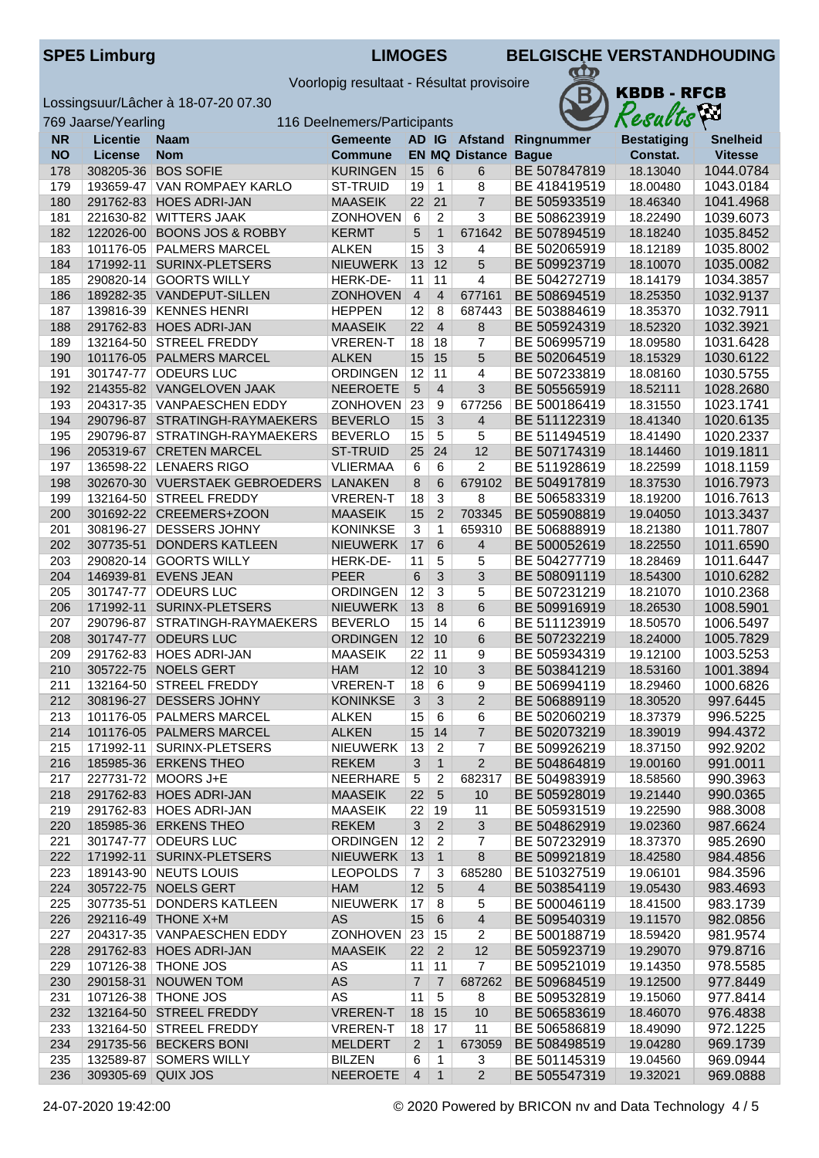|  | <b>SPE5 Limburg</b> |  |
|--|---------------------|--|
|  |                     |  |

KBDB - RFCB<br>Results

 $\pi$ 

Voorlopig resultaat - Résultat provisoire

Lossingsuur/Lâcher à 18-07-20 07.30

769 Jaarse/Yearling 116 Deelnemers/Participants

| <b>NR</b> | <b>Licentie</b>    | Naam                           | <b>Gemeente</b> | AD IG           |                |                         | <b>Afstand Ringnummer</b> | <b>Bestatiging</b> | <b>Snelheid</b> |
|-----------|--------------------|--------------------------------|-----------------|-----------------|----------------|-------------------------|---------------------------|--------------------|-----------------|
| <b>NO</b> | <b>License</b>     | Nom                            | <b>Commune</b>  |                 |                | <b>EN MQ Distance</b>   | <b>Bague</b>              | Constat.           | <b>Vitesse</b>  |
| 178       |                    | 308205-36 BOS SOFIE            | <b>KURINGEN</b> | 15              | 6              | 6                       | BE 507847819              | 18.13040           | 1044.0784       |
| 179       | 193659-47          | <b>VAN ROMPAEY KARLO</b>       | <b>ST-TRUID</b> | 19              | 1              | 8                       | BE 418419519              | 18.00480           | 1043.0184       |
| 180       | 291762-83          | <b>HOES ADRI-JAN</b>           | <b>MAASEIK</b>  | 22              | 21             | $\overline{7}$          | BE 505933519              | 18.46340           | 1041.4968       |
| 181       | 221630-82          | <b>WITTERS JAAK</b>            | ZONHOVEN        | 6               | $\overline{c}$ | 3                       | BE 508623919              | 18.22490           | 1039.6073       |
| 182       |                    | 122026-00 BOONS JOS & ROBBY    | <b>KERMT</b>    | $5\phantom{.0}$ | $\mathbf{1}$   | 671642                  | BE 507894519              | 18.18240           | 1035.8452       |
| 183       |                    | 101176-05 PALMERS MARCEL       | <b>ALKEN</b>    | 15              | $\overline{3}$ | 4                       | BE 502065919              | 18.12189           | 1035.8002       |
|           |                    |                                |                 |                 | 12             |                         |                           |                    | 1035.0082       |
| 184       |                    | 171992-11 SURINX-PLETSERS      | <b>NIEUWERK</b> | 13              |                | 5                       | BE 509923719              | 18.10070           |                 |
| 185       | 290820-14          | <b>GOORTS WILLY</b>            | HERK-DE-        | 11              | 11             | 4                       | BE 504272719              | 18.14179           | 1034.3857       |
| 186       |                    | 189282-35 VANDEPUT-SILLEN      | <b>ZONHOVEN</b> | $\overline{4}$  | $\overline{4}$ | 677161                  | BE 508694519              | 18.25350           | 1032.9137       |
| 187       |                    | 139816-39 KENNES HENRI         | <b>HEPPEN</b>   | 12              | 8              | 687443                  | BE 503884619              | 18.35370           | 1032.7911       |
| 188       |                    | 291762-83 HOES ADRI-JAN        | <b>MAASEIK</b>  | 22              | $\overline{4}$ | 8                       | BE 505924319              | 18.52320           | 1032.3921       |
| 189       | 132164-50          | <b>STREEL FREDDY</b>           | <b>VREREN-T</b> | 18              | 18             | 7                       | BE 506995719              | 18.09580           | 1031.6428       |
| 190       |                    | 101176-05 PALMERS MARCEL       | <b>ALKEN</b>    | 15              | 15             | 5                       | BE 502064519              | 18.15329           | 1030.6122       |
| 191       |                    | 301747-77 ODEURS LUC           | <b>ORDINGEN</b> | 12              | 11             | 4                       | BE 507233819              | 18.08160           | 1030.5755       |
| 192       |                    | 214355-82 VANGELOVEN JAAK      | <b>NEEROETE</b> | $\sqrt{5}$      | $\overline{4}$ | 3                       | BE 505565919              | 18.52111           | 1028.2680       |
| 193       |                    | 204317-35 VANPAESCHEN EDDY     | ZONHOVEN        | 23              | 9              | 677256                  | BE 500186419              | 18.31550           | 1023.1741       |
| 194       |                    | 290796-87 STRATINGH-RAYMAEKERS | <b>BEVERLO</b>  | 15              | $\mathbf{3}$   | $\overline{\mathbf{4}}$ | BE 511122319              | 18.41340           | 1020.6135       |
| 195       | 290796-87          | STRATINGH-RAYMAEKERS           | <b>BEVERLO</b>  | 15              | $\overline{5}$ | 5                       | BE 511494519              | 18.41490           | 1020.2337       |
| 196       |                    | 205319-67 CRETEN MARCEL        | <b>ST-TRUID</b> | 25              | 24             | 12                      | BE 507174319              | 18.14460           | 1019.1811       |
| 197       |                    | 136598-22 LENAERS RIGO         | <b>VLIERMAA</b> | 6               | 6              | 2                       | BE 511928619              | 18.22599           | 1018.1159       |
| 198       |                    |                                |                 |                 | 6              |                         | BE 504917819              |                    | 1016.7973       |
|           |                    | 302670-30 VUERSTAEK GEBROEDERS | LANAKEN         | 8               |                | 679102                  |                           | 18.37530           |                 |
| 199       |                    | 132164-50 STREEL FREDDY        | <b>VREREN-T</b> | 18              | $\overline{3}$ | 8                       | BE 506583319              | 18.19200           | 1016.7613       |
| 200       |                    | 301692-22 CREEMERS+ZOON        | <b>MAASEIK</b>  | 15              | $\overline{2}$ | 703345                  | BE 505908819              | 19.04050           | 1013.3437       |
| 201       |                    | 308196-27 DESSERS JOHNY        | <b>KONINKSE</b> | 3               | 1              | 659310                  | BE 506888919              | 18.21380           | 1011.7807       |
| 202       |                    | 307735-51 DONDERS KATLEEN      | <b>NIEUWERK</b> | 17              | 6              | 4                       | BE 500052619              | 18.22550           | 1011.6590       |
| 203       |                    | 290820-14 GOORTS WILLY         | HERK-DE-        | 11              | 5              | 5                       | BE 504277719              | 18.28469           | 1011.6447       |
| 204       |                    | 146939-81 EVENS JEAN           | <b>PEER</b>     | $6\phantom{1}$  | $\mathbf{3}$   | 3                       | BE 508091119              | 18.54300           | 1010.6282       |
| 205       | 301747-77          | <b>ODEURS LUC</b>              | ORDINGEN        | 12              | 3              | 5                       | BE 507231219              | 18.21070           | 1010.2368       |
| 206       | 171992-11          | SURINX-PLETSERS                | <b>NIEUWERK</b> | 13              | 8              | 6                       | BE 509916919              | 18.26530           | 1008.5901       |
| 207       | 290796-87          | STRATINGH-RAYMAEKERS           | <b>BEVERLO</b>  | 15              | 14             | 6                       | BE 511123919              | 18.50570           | 1006.5497       |
| 208       |                    | 301747-77 ODEURS LUC           | <b>ORDINGEN</b> | 12              | 10             | 6                       | BE 507232219              | 18.24000           | 1005.7829       |
| 209       |                    | 291762-83 HOES ADRI-JAN        | <b>MAASEIK</b>  | 22              | 11             | 9                       | BE 505934319              | 19.12100           | 1003.5253       |
| 210       |                    | 305722-75 NOELS GERT           | <b>HAM</b>      | 12              | 10             | 3                       | BE 503841219              | 18.53160           | 1001.3894       |
| 211       | 132164-50          | <b>STREEL FREDDY</b>           | <b>VREREN-T</b> | 18              | 6              | 9                       | BE 506994119              | 18.29460           | 1000.6826       |
| 212       |                    | 308196-27 DESSERS JOHNY        | <b>KONINKSE</b> | $\mathbf{3}$    | $\mathbf{3}$   | $\overline{c}$          | BE 506889119              | 18.30520           | 997.6445        |
| 213       | 101176-05          | <b>PALMERS MARCEL</b>          | <b>ALKEN</b>    | 15              | 6              | 6                       | BE 502060219              | 18.37379           | 996.5225        |
| 214       |                    | 101176-05 PALMERS MARCEL       | <b>ALKEN</b>    | 15              | 14             | $\overline{7}$          | BE 502073219              | 18.39019           | 994.4372        |
| 215       |                    | 171992-11   SURINX-PLETSERS    | NIEUWERK        | 13              | 2              | 7                       | BE 509926219              | 18.37150           | 992.9202        |
|           |                    | 185985-36 ERKENS THEO          | <b>REKEM</b>    | 3               | $\mathbf{1}$   |                         | BE 504864819              | 19.00160           | 991.0011        |
| 216       |                    |                                |                 |                 |                | 2                       |                           |                    |                 |
| 217       |                    | 227731-72 MOORS J+E            | NEERHARE        | 5               | 2              | 682317                  | BE 504983919              | 18.58560           | 990.3963        |
| 218       |                    | 291762-83 HOES ADRI-JAN        | <b>MAASEIK</b>  | 22              | $\overline{5}$ | 10                      | BE 505928019              | 19.21440           | 990.0365        |
| 219       |                    | 291762-83 HOES ADRI-JAN        | <b>MAASEIK</b>  | 22              | 19             | 11                      | BE 505931519              | 19.22590           | 988.3008        |
| 220       |                    | 185985-36 ERKENS THEO          | <b>REKEM</b>    | $\overline{3}$  | $\overline{2}$ | 3                       | BE 504862919              | 19.02360           | 987.6624        |
| 221       |                    | 301747-77 ODEURS LUC           | <b>ORDINGEN</b> | 12              | $\overline{c}$ | 7                       | BE 507232919              | 18.37370           | 985.2690        |
| 222       |                    | 171992-11 SURINX-PLETSERS      | <b>NIEUWERK</b> | 13              | $\mathbf{1}$   | 8                       | BE 509921819              | 18.42580           | 984.4856        |
| 223       |                    | 189143-90 NEUTS LOUIS          | <b>LEOPOLDS</b> | 7               | 3              | 685280                  | BE 510327519              | 19.06101           | 984.3596        |
| 224       |                    | 305722-75 NOELS GERT           | <b>HAM</b>      | 12              | $\sqrt{5}$     | 4                       | BE 503854119              | 19.05430           | 983.4693        |
| 225       |                    | 307735-51 DONDERS KATLEEN      | <b>NIEUWERK</b> | 17              | 8              | 5                       | BE 500046119              | 18.41500           | 983.1739        |
| 226       |                    | 292116-49 THONE X+M            | AS              | 15              | $\,6\,$        | 4                       | BE 509540319              | 19.11570           | 982.0856        |
| 227       |                    | 204317-35 VANPAESCHEN EDDY     | ZONHOVEN 23     |                 | 15             | $\overline{c}$          | BE 500188719              | 18.59420           | 981.9574        |
| 228       |                    | 291762-83 HOES ADRI-JAN        | <b>MAASEIK</b>  | 22              | $\overline{2}$ | 12                      | BE 505923719              | 19.29070           | 979.8716        |
| 229       |                    | 107126-38 THONE JOS            | AS              | 11              | 11             | $\overline{7}$          | BE 509521019              | 19.14350           | 978.5585        |
| 230       |                    | 290158-31 NOUWEN TOM           | AS              | $\overline{7}$  | $\overline{7}$ | 687262                  | BE 509684519              | 19.12500           | 977.8449        |
| 231       |                    | 107126-38 THONE JOS            | AS              | 11              | $\sqrt{5}$     | 8                       | BE 509532819              | 19.15060           | 977.8414        |
| 232       |                    | 132164-50 STREEL FREDDY        | <b>VREREN-T</b> | 18              | 15             | 10                      | BE 506583619              | 18.46070           | 976.4838        |
|           |                    |                                |                 |                 |                |                         |                           |                    |                 |
| 233       |                    | 132164-50 STREEL FREDDY        | <b>VREREN-T</b> | 18              | 17             | 11                      | BE 506586819              | 18.49090           | 972.1225        |
| 234       |                    | 291735-56 BECKERS BONI         | <b>MELDERT</b>  | $\overline{2}$  | $\mathbf{1}$   | 673059                  | BE 508498519              | 19.04280           | 969.1739        |
| 235       |                    | 132589-87   SOMERS WILLY       | <b>BILZEN</b>   | 6               | 1              | 3                       | BE 501145319              | 19.04560           | 969.0944        |
| 236       | 309305-69 QUIX JOS |                                | <b>NEEROETE</b> | $\overline{4}$  | $\mathbf{1}$   | $\mathbf{2}$            | BE 505547319              | 19.32021           | 969.0888        |